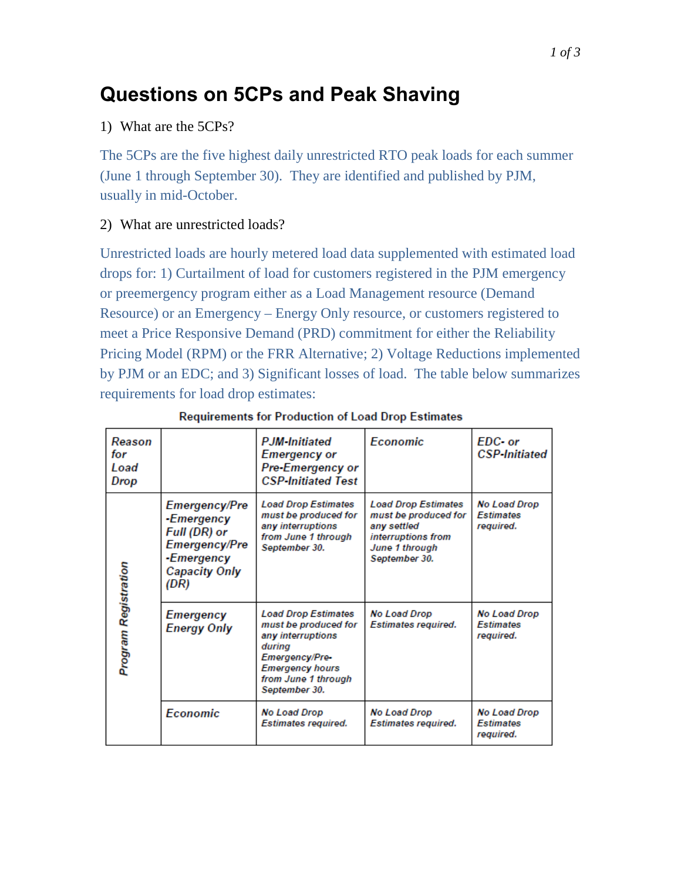# **Questions on 5CPs and Peak Shaving**

## 1) What are the 5CPs?

The 5CPs are the five highest daily unrestricted RTO peak loads for each summer (June 1 through September 30). They are identified and published by PJM, usually in mid-October.

# 2) What are unrestricted loads?

Unrestricted loads are hourly metered load data supplemented with estimated load drops for: 1) Curtailment of load for customers registered in the PJM emergency or preemergency program either as a Load Management resource (Demand Resource) or an Emergency – Energy Only resource, or customers registered to meet a Price Responsive Demand (PRD) commitment for either the Reliability Pricing Model (RPM) or the FRR Alternative; 2) Voltage Reductions implemented by PJM or an EDC; and 3) Significant losses of load. The table below summarizes requirements for load drop estimates:

| Reason<br>for<br>Load<br>Drop |                                                                                                                   | <b>PJM-Initiated</b><br><b>Emergency or</b><br>Pre-Emergency or<br><b>CSP-Initiated Test</b>                                                                                 | <b>Economic</b>                                                                                                            | EDC- or<br><b>CSP-Initiated</b>                      |
|-------------------------------|-------------------------------------------------------------------------------------------------------------------|------------------------------------------------------------------------------------------------------------------------------------------------------------------------------|----------------------------------------------------------------------------------------------------------------------------|------------------------------------------------------|
| Program Registration          | Emergency/Pre<br>-Emergency<br>Full (DR) or<br><b>Emergency/Pre</b><br>-Emergency<br><b>Capacity Only</b><br>(DR) | <b>Load Drop Estimates</b><br>must be produced for<br>any interruptions<br>from June 1 through<br>September 30.                                                              | <b>Load Drop Estimates</b><br>must be produced for<br>any settled<br>interruptions from<br>June 1 through<br>September 30. | <b>No Load Drop</b><br><b>Estimates</b><br>required. |
|                               | Emergency<br><b>Energy Only</b>                                                                                   | <b>Load Drop Estimates</b><br>must be produced for<br>any interruptions<br>during<br><b>Emergency/Pre-</b><br><b>Emergency hours</b><br>from June 1 through<br>September 30. | No Load Drop<br>Estimates required.                                                                                        | No Load Drop<br><b>Fstimates</b><br>required.        |
|                               | <b>Economic</b>                                                                                                   | No Load Drop<br><b>Estimates required.</b>                                                                                                                                   | No Load Drop<br><b>Estimates required.</b>                                                                                 | No Load Drop<br><b>Estimates</b><br>required.        |

#### **Requirements for Production of Load Drop Estimates**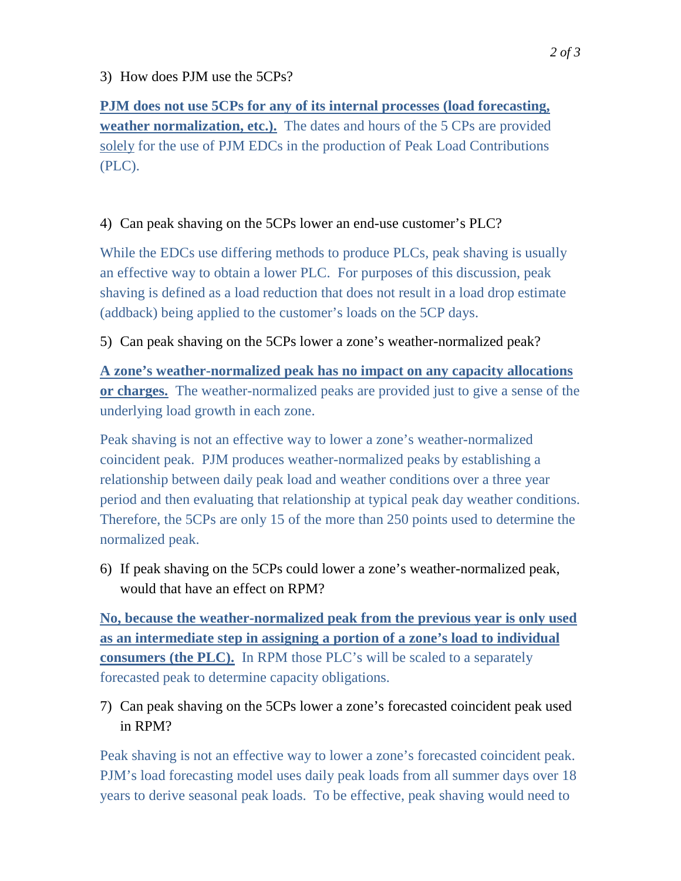## 3) How does PJM use the 5CPs?

**PJM does not use 5CPs for any of its internal processes (load forecasting, weather normalization, etc.).** The dates and hours of the 5 CPs are provided solely for the use of PJM EDCs in the production of Peak Load Contributions (PLC).

# 4) Can peak shaving on the 5CPs lower an end-use customer's PLC?

While the EDCs use differing methods to produce PLCs, peak shaving is usually an effective way to obtain a lower PLC. For purposes of this discussion, peak shaving is defined as a load reduction that does not result in a load drop estimate (addback) being applied to the customer's loads on the 5CP days.

## 5) Can peak shaving on the 5CPs lower a zone's weather-normalized peak?

**A zone's weather-normalized peak has no impact on any capacity allocations or charges.** The weather-normalized peaks are provided just to give a sense of the underlying load growth in each zone.

Peak shaving is not an effective way to lower a zone's weather-normalized coincident peak. PJM produces weather-normalized peaks by establishing a relationship between daily peak load and weather conditions over a three year period and then evaluating that relationship at typical peak day weather conditions. Therefore, the 5CPs are only 15 of the more than 250 points used to determine the normalized peak.

6) If peak shaving on the 5CPs could lower a zone's weather-normalized peak, would that have an effect on RPM?

**No, because the weather-normalized peak from the previous year is only used as an intermediate step in assigning a portion of a zone's load to individual consumers (the PLC).** In RPM those PLC's will be scaled to a separately forecasted peak to determine capacity obligations.

7) Can peak shaving on the 5CPs lower a zone's forecasted coincident peak used in RPM?

Peak shaving is not an effective way to lower a zone's forecasted coincident peak. PJM's load forecasting model uses daily peak loads from all summer days over 18 years to derive seasonal peak loads. To be effective, peak shaving would need to